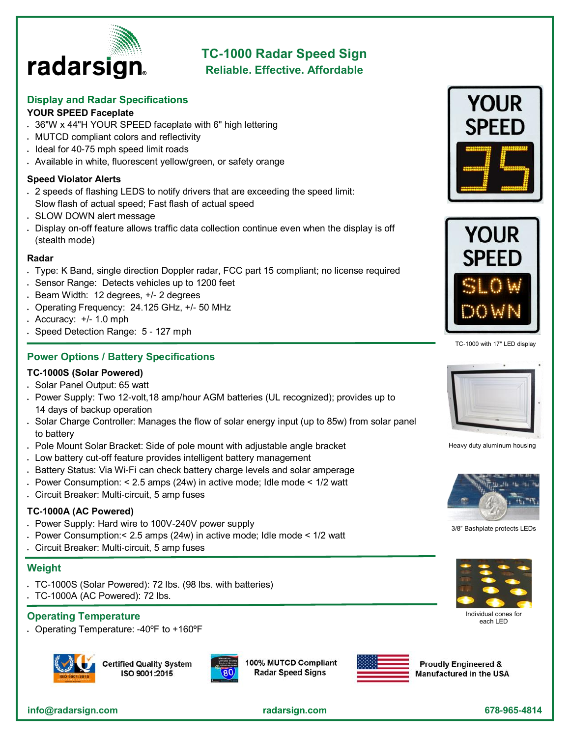

# **TC-1000 Radar Speed Sign Reliable. Effective. Affordable**

# **Display and Radar Specifications**

#### **YOUR SPEED Faceplate**

- 36"W x 44"H YOUR SPEED faceplate with 6" high lettering
- MUTCD compliant colors and reflectivity
- Ideal for 40-75 mph speed limit roads
- Available in white, fluorescent yellow/green, or safety orange

# **Speed Violator Alerts**

- 2 speeds of flashing LEDS to notify drivers that are exceeding the speed limit: Slow flash of actual speed; Fast flash of actual speed
- SLOW DOWN alert message
- Display on-off feature allows traffic data collection continue even when the display is off (stealth mode)

#### **Radar**

- Type: K Band, single direction Doppler radar, FCC part 15 compliant; no license required
- Sensor Range: Detects vehicles up to 1200 feet
- Beam Width: 12 degrees, +/- 2 degrees
- Operating Frequency: 24.125 GHz, +/- 50 MHz
- $\cdot$  Accuracy:  $+/- 1.0$  mph
- Speed Detection Range: 5 127 mph

# **Power Options / Battery Specifications**

# **TC-1000S (Solar Powered)**

- Solar Panel Output: 65 watt
- Power Supply: Two 12-volt,18 amp/hour AGM batteries (UL recognized); provides up to 14 days of backup operation
- Solar Charge Controller: Manages the flow of solar energy input (up to 85w) from solar panel to battery
- Pole Mount Solar Bracket: Side of pole mount with adjustable angle bracket
- Low battery cut-off feature provides intelligent battery management
- Battery Status: Via Wi-Fi can check battery charge levels and solar amperage
- Power Consumption: < 2.5 amps (24w) in active mode; Idle mode < 1/2 watt
- Circuit Breaker: Multi-circuit, 5 amp fuses

# **TC-1000A (AC Powered)**

- Power Supply: Hard wire to 100V-240V power supply
- Power Consumption:< 2.5 amps (24w) in active mode; Idle mode < 1/2 watt
- Circuit Breaker: Multi-circuit, 5 amp fuses

# **Weight**

- TC-1000S (Solar Powered): 72 lbs. (98 lbs. with batteries)
- TC-1000A (AC Powered): 72 lbs.

# **Operating Temperature**

• Operating Temperature: -40ºF to +160ºF



**Certified Quality System** ISO 9001:2015



100% MUTCD Compliant **Radar Speed Signs** 



**Proudly Engineered &** Manufactured in the USA





TC-1000 with 17" LED display



Heavy duty aluminum housing



3/8" Bashplate protects LEDs

Individual cones for each LED